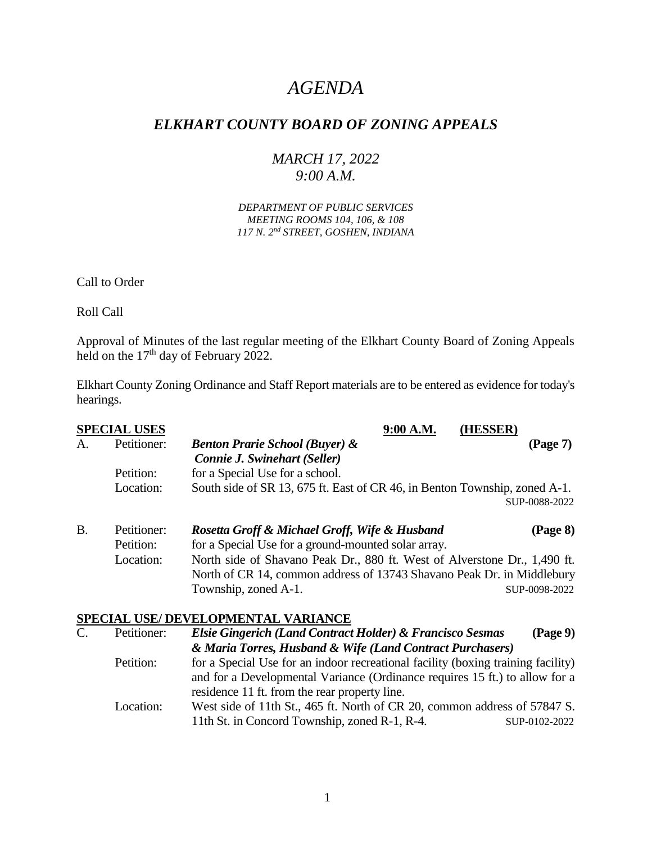# *AGENDA*

## *ELKHART COUNTY BOARD OF ZONING APPEALS*

### *MARCH 17, 2022 9:00 A.M.*

*DEPARTMENT OF PUBLIC SERVICES MEETING ROOMS 104, 106, & 108 117 N. 2nd STREET, GOSHEN, INDIANA*

Call to Order

Roll Call

Approval of Minutes of the last regular meeting of the Elkhart County Board of Zoning Appeals held on the 17<sup>th</sup> day of February 2022.

Elkhart County Zoning Ordinance and Staff Report materials are to be entered as evidence for today's hearings.

|           | <b>SPECIAL USES</b> |                                                                            | 9:00 A.M. | <b>HESSER</b> |               |
|-----------|---------------------|----------------------------------------------------------------------------|-----------|---------------|---------------|
| А.        | Petitioner:         | <b>Benton Prarie School (Buyer) &amp;</b>                                  |           |               | (Page 7)      |
|           |                     | <b>Connie J. Swinehart (Seller)</b>                                        |           |               |               |
|           | Petition:           | for a Special Use for a school.                                            |           |               |               |
|           | Location:           | South side of SR 13, 675 ft. East of CR 46, in Benton Township, zoned A-1. |           |               |               |
|           |                     |                                                                            |           |               | SUP-0088-2022 |
| <b>B.</b> | Petitioner:         | Rosetta Groff & Michael Groff, Wife & Husband                              |           |               | (Page 8)      |
|           | Petition:           | for a Special Use for a ground-mounted solar array.                        |           |               |               |
|           | Location:           | North side of Shavano Peak Dr., 880 ft. West of Alverstone Dr., 1,490 ft.  |           |               |               |
|           |                     | North of CR 14, common address of 13743 Shavano Peak Dr. in Middlebury     |           |               |               |
|           |                     | Township, zoned A-1.                                                       |           |               | SUP-0098-2022 |

#### **SPECIAL USE/ DEVELOPMENTAL VARIANCE**

| $\mathbf{C}$ . | Petitioner: | Elsie Gingerich (Land Contract Holder) & Francisco Sesmas                        | $(\text{Page } 9)$ |  |
|----------------|-------------|----------------------------------------------------------------------------------|--------------------|--|
|                |             | & Maria Torres, Husband & Wife (Land Contract Purchasers)                        |                    |  |
|                | Petition:   | for a Special Use for an indoor recreational facility (boxing training facility) |                    |  |
|                |             | and for a Developmental Variance (Ordinance requires 15 ft.) to allow for a      |                    |  |
|                |             | residence 11 ft. from the rear property line.                                    |                    |  |
|                | Location:   | West side of 11th St., 465 ft. North of CR 20, common address of 57847 S.        |                    |  |
|                |             | 11th St. in Concord Township, zoned R-1, R-4.                                    | SUP-0102-2022      |  |